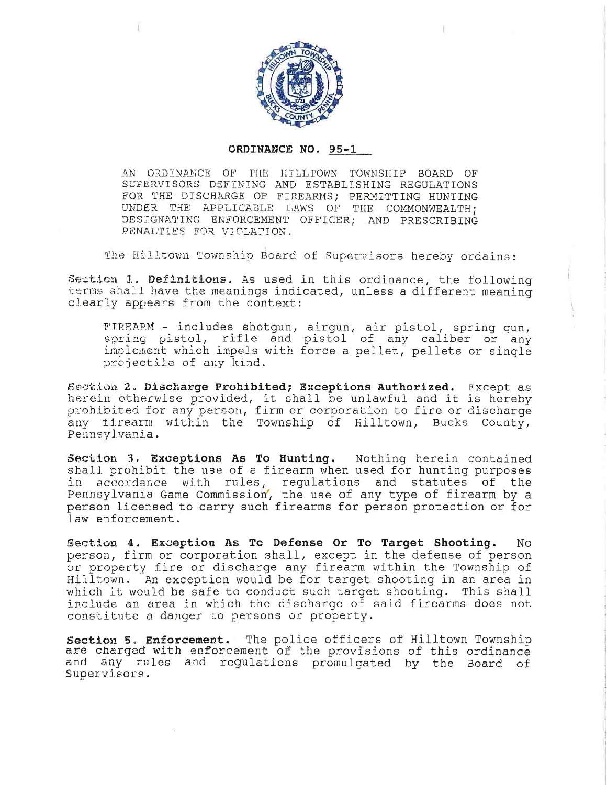

## ORDINANCE NO. 95-1

AN ORDINANCE OF THE HILLTOWN TOWNSHIP BOARD OF SUPERVISORS DEFINING AND ESTABLISHING REGULATIONS FOR THE DISCHARGE OF FIREARMS; PERMITTING HUNTING UNDER THE APPLICABLE LAWS OF THE COMMONWEALTH; DESIGNATING ENFORCEMENT OFFICER; AND PRESCRIBING PENALTIES FOR VIOLATION.

The Hilltown Township Board of Supervisors hereby ordains:

Section 1. Definitions. As used in this ordinance, the following terms shall have the meanings indicated, unless a different meaning clearly appears from the context:

FIREARM - includes shotgun, airgun, air pistol, spring gun, spring pistol, rifle and pistol of any caliber or any implement which impels with force a pellet, pellets or single projectile of any kind.

Section 2. Discharge Prohibited; Exceptions Authorized. Except as herein otherwise provided, it shall be unlawful and it is hereby prohibited for any person, firm or corporation to fire or discharge any firearm within the Township of Hilltown, Bucks County, Pennsylvania.

Section 3. Exceptions As To Hunting. Nothing herein contained shall prohibit the use of a firearm when used for hunting purposes in accordance with rules, regulations and statutes of the Pennsylvania Game Commission, the use of any type of firearm by a person licensed to carry such firearms for person protection or for law enforcement.

Section 4. Exception As To Defense Or To Target Shooting. No. person, firm or corporation shall, except in the defense of person or property fire or discharge any firearm within the Township of Hilltown. An exception would be for target shooting in an area in which it would be safe to conduct such target shooting. This shall include an area in which the discharge of said firearms does not constitute a danger to persons or property.

Section 5. Enforcement. The police officers of Hilltown Township are charged with enforcement of the provisions of this ordinance and any rules and regulations promulgated by the Board of Supervisors.